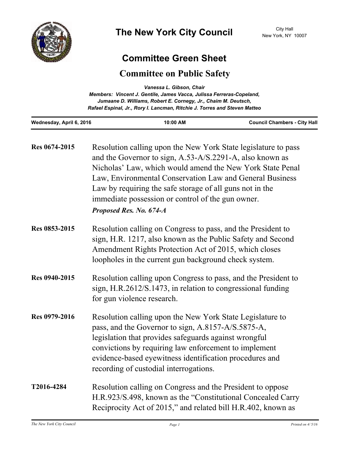

## **Committee Green Sheet**

## **Committee on Public Safety**

| Vanessa L. Gibson, Chair<br>Members: Vincent J. Gentile, James Vacca, Julissa Ferreras-Copeland,<br>Jumaane D. Williams, Robert E. Cornegy, Jr., Chaim M. Deutsch,<br>Rafael Espinal, Jr., Rory I. Lancman, Ritchie J. Torres and Steven Matteo |                                                                                                                                                                                                                                                                                                                                                                                                 |                                     |
|-------------------------------------------------------------------------------------------------------------------------------------------------------------------------------------------------------------------------------------------------|-------------------------------------------------------------------------------------------------------------------------------------------------------------------------------------------------------------------------------------------------------------------------------------------------------------------------------------------------------------------------------------------------|-------------------------------------|
| Wednesday, April 6, 2016                                                                                                                                                                                                                        | 10:00 AM                                                                                                                                                                                                                                                                                                                                                                                        | <b>Council Chambers - City Hall</b> |
| Res 0674-2015                                                                                                                                                                                                                                   | Resolution calling upon the New York State legislature to pass<br>and the Governor to sign, A.53-A/S.2291-A, also known as<br>Nicholas' Law, which would amend the New York State Penal<br>Law, Environmental Conservation Law and General Business<br>Law by requiring the safe storage of all guns not in the<br>immediate possession or control of the gun owner.<br>Proposed Res. No. 674-A |                                     |
| Res 0853-2015                                                                                                                                                                                                                                   | Resolution calling on Congress to pass, and the President to<br>sign, H.R. 1217, also known as the Public Safety and Second<br>Amendment Rights Protection Act of 2015, which closes<br>loopholes in the current gun background check system.                                                                                                                                                   |                                     |
| Res 0940-2015                                                                                                                                                                                                                                   | Resolution calling upon Congress to pass, and the President to<br>sign, H.R.2612/S.1473, in relation to congressional funding<br>for gun violence research.                                                                                                                                                                                                                                     |                                     |
| Res 0979-2016                                                                                                                                                                                                                                   | Resolution calling upon the New York State Legislature to<br>pass, and the Governor to sign, A.8157-A/S.5875-A,<br>legislation that provides safeguards against wrongful<br>convictions by requiring law enforcement to implement<br>evidence-based eyewitness identification procedures and<br>recording of custodial interrogations.                                                          |                                     |
| T2016-4284                                                                                                                                                                                                                                      | Resolution calling on Congress and the President to oppose<br>H.R.923/S.498, known as the "Constitutional Concealed Carry<br>Reciprocity Act of 2015," and related bill H.R.402, known as                                                                                                                                                                                                       |                                     |